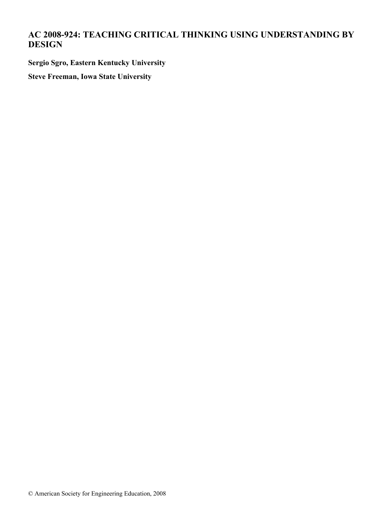# **AC 2008-924: TEACHING CRITICAL THINKING USING UNDERSTANDING BY DESIGN**

**Sergio Sgro, Eastern Kentucky University**

**Steve Freeman, Iowa State University**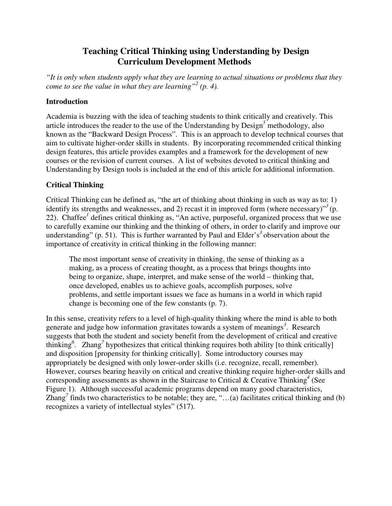# **Teaching Critical Thinking using Understanding by Design Curriculum Development Methods**

*"It is only when students apply what they are learning to actual situations or problems that they come to see the value in what they are learning*"<sup>2</sup> (p. 4).

#### **Introduction**

Academia is buzzing with the idea of teaching students to think critically and creatively. This article introduces the reader to the use of the Understanding by Design*<sup>5</sup>* methodology, also known as the "Backward Design Process". This is an approach to develop technical courses that aim to cultivate higher-order skills in students. By incorporating recommended critical thinking design features, this article provides examples and a framework for the development of new courses or the revision of current courses. A list of websites devoted to critical thinking and Understanding by Design tools is included at the end of this article for additional information.

## **Critical Thinking**

Critical Thinking can be defined as, "the art of thinking about thinking in such as way as to: 1) identify its strengths and weaknesses, and 2) recast it in improved form (where necessary)<sup> $\frac{3}{2}$ </sup>(p. 22). Chaffee*<sup>1</sup>* defines critical thinking as, "An active, purposeful, organized process that we use to carefully examine our thinking and the thinking of others, in order to clarify and improve our understanding" (p. 51). This is further warranted by Paul and Elder's<sup>3</sup> observation about the importance of creativity in critical thinking in the following manner:

The most important sense of creativity in thinking, the sense of thinking as a making, as a process of creating thought, as a process that brings thoughts into being to organize, shape, interpret, and make sense of the world – thinking that, once developed, enables us to achieve goals, accomplish purposes, solve problems, and settle important issues we face as humans in a world in which rapid change is becoming one of the few constants (p. 7).

In this sense, creativity refers to a level of high-quality thinking where the mind is able to both generate and judge how information gravitates towards a system of meanings*<sup>3</sup>* . Research suggests that both the student and society benefit from the development of critical and creative thinking<sup>6</sup>. Zhang<sup>7</sup> hypothesizes that critical thinking requires both ability [to think critically] and disposition [propensity for thinking critically]. Some introductory courses may appropriately be designed with only lower-order skills (i.e. recognize, recall, remember). However, courses bearing heavily on critical and creative thinking require higher-order skills and corresponding assessments as shown in the Staircase to Critical & Creative Thinking*<sup>4</sup>* (See Figure 1). Although successful academic programs depend on many good characteristics, Zhang<sup>7</sup> finds two characteristics to be notable; they are, "...(a) facilitates critical thinking and (b) recognizes a variety of intellectual styles" (517).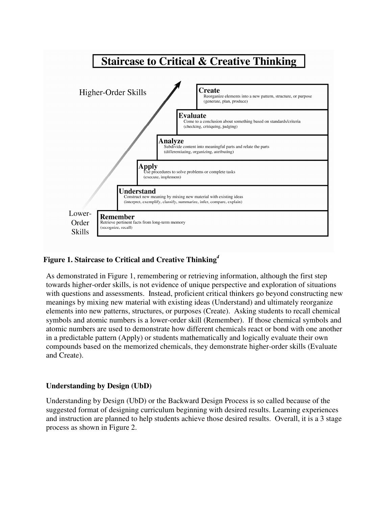

## **Figure 1. Staircase to Critical and Creative Thinking***<sup>4</sup>*

As demonstrated in Figure 1, remembering or retrieving information, although the first step towards higher-order skills, is not evidence of unique perspective and exploration of situations with questions and assessments. Instead, proficient critical thinkers go beyond constructing new meanings by mixing new material with existing ideas (Understand) and ultimately reorganize elements into new patterns, structures, or purposes (Create). Asking students to recall chemical symbols and atomic numbers is a lower-order skill (Remember). If those chemical symbols and atomic numbers are used to demonstrate how different chemicals react or bond with one another in a predictable pattern (Apply) or students mathematically and logically evaluate their own compounds based on the memorized chemicals, they demonstrate higher-order skills (Evaluate and Create).

#### **Understanding by Design (UbD)**

Understanding by Design (UbD) or the Backward Design Process is so called because of the suggested format of designing curriculum beginning with desired results. Learning experiences and instruction are planned to help students achieve those desired results. Overall, it is a 3 stage process as shown in Figure 2.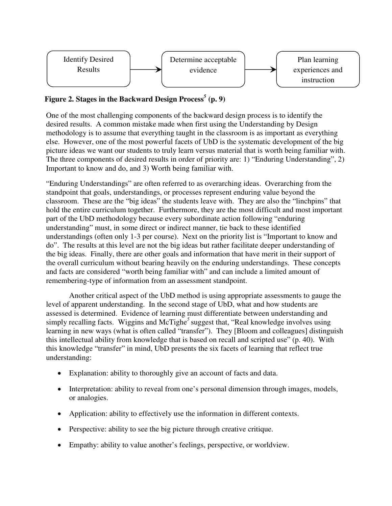

# **Figure 2. Stages in the Backward Design Process***<sup>5</sup>*  **(p. 9)**

One of the most challenging components of the backward design process is to identify the desired results. A common mistake made when first using the Understanding by Design methodology is to assume that everything taught in the classroom is as important as everything else. However, one of the most powerful facets of UbD is the systematic development of the big picture ideas we want our students to truly learn versus material that is worth being familiar with. The three components of desired results in order of priority are: 1) "Enduring Understanding", 2) Important to know and do, and 3) Worth being familiar with.

"Enduring Understandings" are often referred to as overarching ideas. Overarching from the standpoint that goals, understandings, or processes represent enduring value beyond the classroom. These are the "big ideas" the students leave with. They are also the "linchpins" that hold the entire curriculum together. Furthermore, they are the most difficult and most important part of the UbD methodology because every subordinate action following "enduring understanding" must, in some direct or indirect manner, tie back to these identified understandings (often only 1-3 per course). Next on the priority list is "Important to know and do". The results at this level are not the big ideas but rather facilitate deeper understanding of the big ideas. Finally, there are other goals and information that have merit in their support of the overall curriculum without bearing heavily on the enduring understandings. These concepts and facts are considered "worth being familiar with" and can include a limited amount of remembering-type of information from an assessment standpoint.

 Another critical aspect of the UbD method is using appropriate assessments to gauge the level of apparent understanding. In the second stage of UbD, what and how students are assessed is determined. Evidence of learning must differentiate between understanding and simply recalling facts. Wiggins and McTighe<sup>5</sup> suggest that, "Real knowledge involves using learning in new ways (what is often called "transfer"). They [Bloom and colleagues] distinguish this intellectual ability from knowledge that is based on recall and scripted use" (p. 40). With this knowledge "transfer" in mind, UbD presents the six facets of learning that reflect true understanding:

- Explanation: ability to thoroughly give an account of facts and data.
- Interpretation: ability to reveal from one's personal dimension through images, models, or analogies.
- Application: ability to effectively use the information in different contexts.
- Perspective: ability to see the big picture through creative critique.
- Empathy: ability to value another's feelings, perspective, or worldview.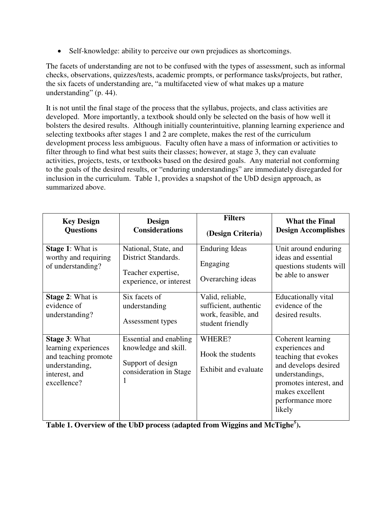• Self-knowledge: ability to perceive our own prejudices as shortcomings.

The facets of understanding are not to be confused with the types of assessment, such as informal checks, observations, quizzes/tests, academic prompts, or performance tasks/projects, but rather, the six facets of understanding are, "a multifaceted view of what makes up a mature understanding" (p. 44).

It is not until the final stage of the process that the syllabus, projects, and class activities are developed. More importantly, a textbook should only be selected on the basis of how well it bolsters the desired results. Although initially counterintuitive, planning learning experience and selecting textbooks after stages 1 and 2 are complete, makes the rest of the curriculum development process less ambiguous. Faculty often have a mass of information or activities to filter through to find what best suits their classes; however, at stage 3, they can evaluate activities, projects, tests, or textbooks based on the desired goals. Any material not conforming to the goals of the desired results, or "enduring understandings" are immediately disregarded for inclusion in the curriculum. Table 1, provides a snapshot of the UbD design approach, as summarized above.

| <b>Key Design</b><br><b>Questions</b>                                                                                  | <b>Design</b><br><b>Considerations</b>                                                              | <b>Filters</b><br>(Design Criteria)                                                  | <b>What the Final</b><br><b>Design Accomplishes</b>                                                                                                                                |
|------------------------------------------------------------------------------------------------------------------------|-----------------------------------------------------------------------------------------------------|--------------------------------------------------------------------------------------|------------------------------------------------------------------------------------------------------------------------------------------------------------------------------------|
| <b>Stage 1: What is</b><br>worthy and requiring<br>of understanding?                                                   | National, State, and<br>District Standards.<br>Teacher expertise,<br>experience, or interest        | <b>Enduring Ideas</b><br>Engaging<br>Overarching ideas                               | Unit around enduring<br>ideas and essential<br>questions students will<br>be able to answer                                                                                        |
| <b>Stage 2: What is</b><br>evidence of<br>understanding?                                                               | Six facets of<br>understanding<br>Assessment types                                                  | Valid, reliable,<br>sufficient, authentic<br>work, feasible, and<br>student friendly | Educationally vital<br>evidence of the<br>desired results.                                                                                                                         |
| <b>Stage 3: What</b><br>learning experiences<br>and teaching promote<br>understanding,<br>interest, and<br>excellence? | Essential and enabling<br>knowledge and skill.<br>Support of design<br>consideration in Stage<br>I. | WHERE?<br>Hook the students<br>Exhibit and evaluate                                  | Coherent learning<br>experiences and<br>teaching that evokes<br>and develops desired<br>understandings,<br>promotes interest, and<br>makes excellent<br>performance more<br>likely |

**Table 1. Overview of the UbD process (adapted from Wiggins and McTighe***<sup>5</sup>* **).**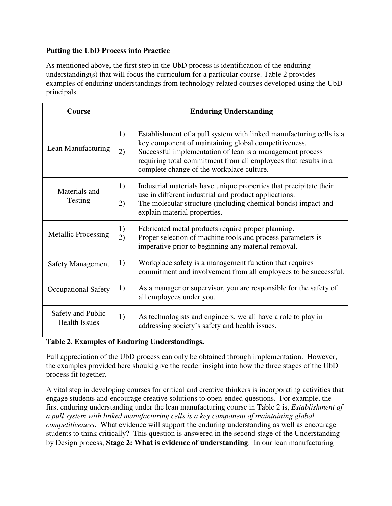#### **Putting the UbD Process into Practice**

As mentioned above, the first step in the UbD process is identification of the enduring understanding(s) that will focus the curriculum for a particular course. Table 2 provides examples of enduring understandings from technology-related courses developed using the UbD principals.

| Course                                    | <b>Enduring Understanding</b>                                                                                                                                                                                                                                                                                        |  |
|-------------------------------------------|----------------------------------------------------------------------------------------------------------------------------------------------------------------------------------------------------------------------------------------------------------------------------------------------------------------------|--|
| Lean Manufacturing                        | Establishment of a pull system with linked manufacturing cells is a<br>1)<br>key component of maintaining global competitiveness.<br>Successful implementation of lean is a management process<br>2)<br>requiring total commitment from all employees that results in a<br>complete change of the workplace culture. |  |
| Materials and<br>Testing                  | Industrial materials have unique properties that precipitate their<br>use in different industrial and product applications.<br>The molecular structure (including chemical bonds) impact and<br>explain material properties.                                                                                         |  |
| <b>Metallic Processing</b>                | Fabricated metal products require proper planning.<br>Proper selection of machine tools and process parameters is<br>imperative prior to beginning any material removal.                                                                                                                                             |  |
| <b>Safety Management</b>                  | Workplace safety is a management function that requires<br>commitment and involvement from all employees to be successful.                                                                                                                                                                                           |  |
| <b>Occupational Safety</b>                | As a manager or supervisor, you are responsible for the safety of<br>all employees under you.                                                                                                                                                                                                                        |  |
| Safety and Public<br><b>Health Issues</b> | As technologists and engineers, we all have a role to play in<br>addressing society's safety and health issues.                                                                                                                                                                                                      |  |

### **Table 2. Examples of Enduring Understandings.**

Full appreciation of the UbD process can only be obtained through implementation. However, the examples provided here should give the reader insight into how the three stages of the UbD process fit together.

A vital step in developing courses for critical and creative thinkers is incorporating activities that engage students and encourage creative solutions to open-ended questions. For example, the first enduring understanding under the lean manufacturing course in Table 2 is, *Establishment of a pull system with linked manufacturing cells is a key component of maintaining global competitiveness*. What evidence will support the enduring understanding as well as encourage students to think critically? This question is answered in the second stage of the Understanding by Design process, **Stage 2: What is evidence of understanding**. In our lean manufacturing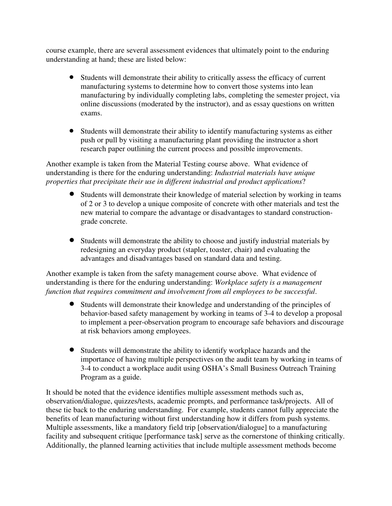course example, there are several assessment evidences that ultimately point to the enduring understanding at hand; these are listed below:

- Students will demonstrate their ability to critically assess the efficacy of current manufacturing systems to determine how to convert those systems into lean manufacturing by individually completing labs, completing the semester project, via online discussions (moderated by the instructor), and as essay questions on written exams.
- Students will demonstrate their ability to identify manufacturing systems as either push or pull by visiting a manufacturing plant providing the instructor a short research paper outlining the current process and possible improvements.

Another example is taken from the Material Testing course above. What evidence of understanding is there for the enduring understanding: *Industrial materials have unique properties that precipitate their use in different industrial and product applications*?

- Students will demonstrate their knowledge of material selection by working in teams of 2 or 3 to develop a unique composite of concrete with other materials and test the new material to compare the advantage or disadvantages to standard constructiongrade concrete.
- Students will demonstrate the ability to choose and justify industrial materials by redesigning an everyday product (stapler, toaster, chair) and evaluating the advantages and disadvantages based on standard data and testing.

Another example is taken from the safety management course above. What evidence of understanding is there for the enduring understanding: *Workplace safety is a management function that requires commitment and involvement from all employees to be successful*.

- Students will demonstrate their knowledge and understanding of the principles of behavior-based safety management by working in teams of 3-4 to develop a proposal to implement a peer-observation program to encourage safe behaviors and discourage at risk behaviors among employees.
- Students will demonstrate the ability to identify workplace hazards and the importance of having multiple perspectives on the audit team by working in teams of 3-4 to conduct a workplace audit using OSHA's Small Business Outreach Training Program as a guide.

It should be noted that the evidence identifies multiple assessment methods such as, observation/dialogue, quizzes/tests, academic prompts, and performance task/projects. All of these tie back to the enduring understanding. For example, students cannot fully appreciate the benefits of lean manufacturing without first understanding how it differs from push systems. Multiple assessments, like a mandatory field trip [observation/dialogue] to a manufacturing facility and subsequent critique [performance task] serve as the cornerstone of thinking critically. Additionally, the planned learning activities that include multiple assessment methods become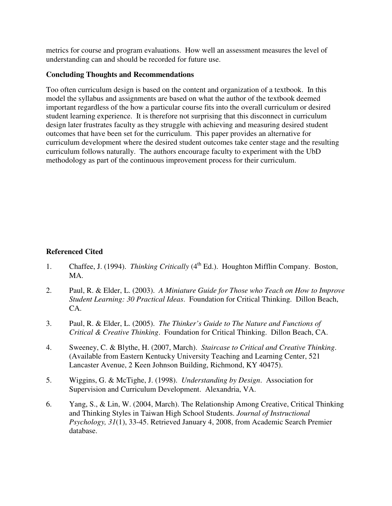metrics for course and program evaluations. How well an assessment measures the level of understanding can and should be recorded for future use.

#### **Concluding Thoughts and Recommendations**

Too often curriculum design is based on the content and organization of a textbook. In this model the syllabus and assignments are based on what the author of the textbook deemed important regardless of the how a particular course fits into the overall curriculum or desired student learning experience. It is therefore not surprising that this disconnect in curriculum design later frustrates faculty as they struggle with achieving and measuring desired student outcomes that have been set for the curriculum. This paper provides an alternative for curriculum development where the desired student outcomes take center stage and the resulting curriculum follows naturally. The authors encourage faculty to experiment with the UbD methodology as part of the continuous improvement process for their curriculum.

#### **Referenced Cited**

- 1. Chaffee, J. (1994). *Thinking Critically* (4<sup>th</sup> Ed.). Houghton Mifflin Company. Boston, MA.
- 2. Paul, R. & Elder, L. (2003). *A Miniature Guide for Those who Teach on How to Improve Student Learning: 30 Practical Ideas*. Foundation for Critical Thinking. Dillon Beach, CA.
- 3. Paul, R. & Elder, L. (2005). *The Thinker's Guide to The Nature and Functions of Critical & Creative Thinking*. Foundation for Critical Thinking. Dillon Beach, CA.
- 4. Sweeney, C. & Blythe, H. (2007, March). *Staircase to Critical and Creative Thinking*. (Available from Eastern Kentucky University Teaching and Learning Center, 521 Lancaster Avenue, 2 Keen Johnson Building, Richmond, KY 40475).
- 5. Wiggins, G. & McTighe, J. (1998). *Understanding by Design*. Association for Supervision and Curriculum Development. Alexandria, VA.
- 6. Yang, S., & Lin, W. (2004, March). The Relationship Among Creative, Critical Thinking and Thinking Styles in Taiwan High School Students. *Journal of Instructional Psychology, 31*(1), 33-45. Retrieved January 4, 2008, from Academic Search Premier database.